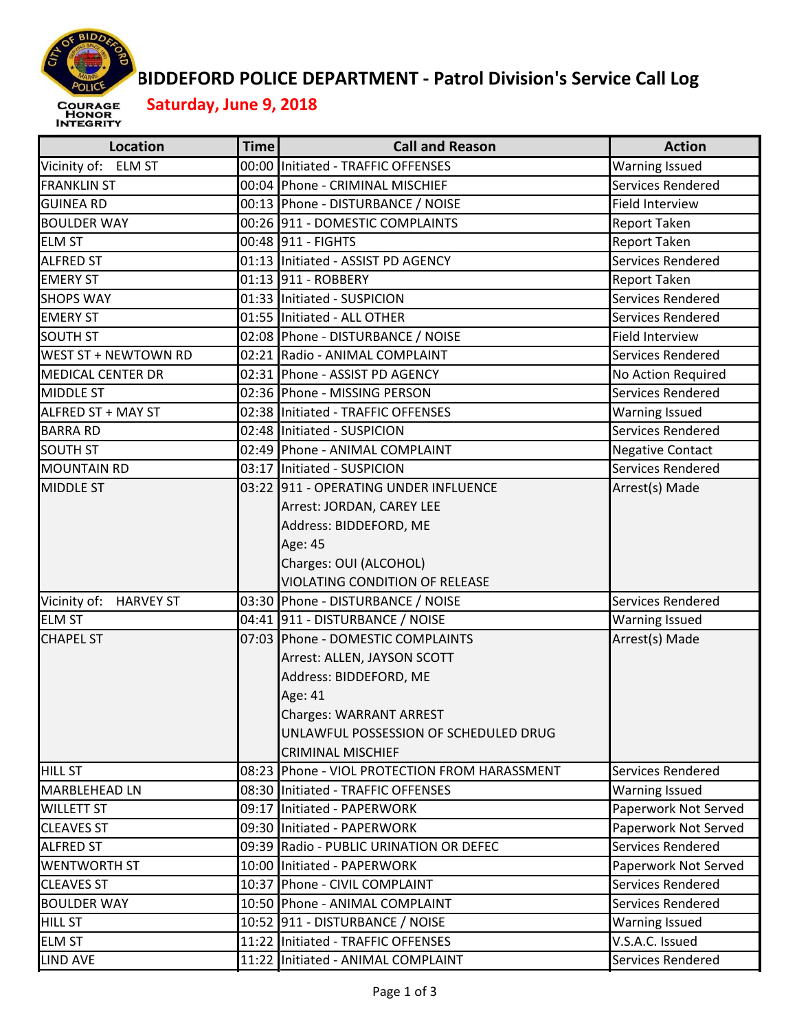

## **BIDDEFORD POLICE DEPARTMENT ‐ Patrol Division's Service Call Log**

 **Saturday, June 9, 2018**

| Vicinity of: ELM ST<br>00:00 Initiated - TRAFFIC OFFENSES<br><b>Warning Issued</b><br>Services Rendered<br><b>FRANKLIN ST</b><br>00:04 Phone - CRIMINAL MISCHIEF<br>00:13 Phone - DISTURBANCE / NOISE<br>Field Interview<br><b>GUINEA RD</b><br>00:26 911 - DOMESTIC COMPLAINTS<br><b>BOULDER WAY</b><br><b>Report Taken</b><br>00:48 911 - FIGHTS<br>Report Taken<br><b>ELM ST</b><br>Services Rendered<br>01:13 Initiated - ASSIST PD AGENCY<br><b>ALFRED ST</b><br>01:13 911 - ROBBERY<br><b>Report Taken</b><br><b>EMERY ST</b><br>01:33 Initiated - SUSPICION<br>Services Rendered<br>01:55 Initiated - ALL OTHER<br>Services Rendered<br><b>EMERY ST</b><br><b>SOUTH ST</b><br>02:08 Phone - DISTURBANCE / NOISE<br>Field Interview<br>Services Rendered<br>WEST ST + NEWTOWN RD<br>02:21 Radio - ANIMAL COMPLAINT<br>02:31 Phone - ASSIST PD AGENCY<br><b>MEDICAL CENTER DR</b><br>No Action Required<br>02:36 Phone - MISSING PERSON<br>Services Rendered<br><b>MIDDLE ST</b><br>ALFRED ST + MAY ST<br>02:38 Initiated - TRAFFIC OFFENSES<br><b>Warning Issued</b><br>Services Rendered<br>02:48 Initiated - SUSPICION<br><b>SOUTH ST</b><br>02:49 Phone - ANIMAL COMPLAINT<br><b>Negative Contact</b><br>03:17 Initiated - SUSPICION<br>Services Rendered<br><b>MOUNTAIN RD</b><br>Arrest(s) Made<br><b>MIDDLE ST</b><br>03:22 911 - OPERATING UNDER INFLUENCE<br>Arrest: JORDAN, CAREY LEE<br>Address: BIDDEFORD, ME<br>Age: 45<br>Charges: OUI (ALCOHOL)<br>VIOLATING CONDITION OF RELEASE<br>Services Rendered<br>Vicinity of: HARVEY ST<br>03:30 Phone - DISTURBANCE / NOISE<br><b>ELM ST</b><br>04:41 911 - DISTURBANCE / NOISE<br><b>Warning Issued</b><br>Arrest(s) Made<br><b>CHAPEL ST</b><br>07:03 Phone - DOMESTIC COMPLAINTS<br>Arrest: ALLEN, JAYSON SCOTT<br>Address: BIDDEFORD, ME<br>Age: 41<br><b>Charges: WARRANT ARREST</b><br>UNLAWFUL POSSESSION OF SCHEDULED DRUG<br><b>CRIMINAL MISCHIEF</b><br><b>HILL ST</b><br>08:23 Phone - VIOL PROTECTION FROM HARASSMENT<br><b>Services Rendered</b><br>MARBLEHEAD LN<br>08:30 Initiated - TRAFFIC OFFENSES<br><b>Warning Issued</b><br>Paperwork Not Served<br>09:17 Initiated - PAPERWORK<br><b>WILLETT ST</b><br>Paperwork Not Served<br><b>CLEAVES ST</b><br>09:30 Initiated - PAPERWORK<br>Services Rendered<br><b>ALFRED ST</b><br>09:39 Radio - PUBLIC URINATION OR DEFEC<br><b>WENTWORTH ST</b><br>10:00 Initiated - PAPERWORK<br>Paperwork Not Served<br>Services Rendered<br><b>CLEAVES ST</b><br>10:37 Phone - CIVIL COMPLAINT<br><b>BOULDER WAY</b><br>10:50 Phone - ANIMAL COMPLAINT<br><b>Services Rendered</b><br><b>HILL ST</b><br>10:52 911 - DISTURBANCE / NOISE<br><b>Warning Issued</b><br>V.S.A.C. Issued<br><b>ELM ST</b><br>11:22 Initiated - TRAFFIC OFFENSES | <b>Location</b>  | <b>Time</b> | <b>Call and Reason</b>             | <b>Action</b>     |
|--------------------------------------------------------------------------------------------------------------------------------------------------------------------------------------------------------------------------------------------------------------------------------------------------------------------------------------------------------------------------------------------------------------------------------------------------------------------------------------------------------------------------------------------------------------------------------------------------------------------------------------------------------------------------------------------------------------------------------------------------------------------------------------------------------------------------------------------------------------------------------------------------------------------------------------------------------------------------------------------------------------------------------------------------------------------------------------------------------------------------------------------------------------------------------------------------------------------------------------------------------------------------------------------------------------------------------------------------------------------------------------------------------------------------------------------------------------------------------------------------------------------------------------------------------------------------------------------------------------------------------------------------------------------------------------------------------------------------------------------------------------------------------------------------------------------------------------------------------------------------------------------------------------------------------------------------------------------------------------------------------------------------------------------------------------------------------------------------------------------------------------------------------------------------------------------------------------------------------------------------------------------------------------------------------------------------------------------------------------------------------------------------------------------------------------------------------------------------------------------------------------------------------------------------------------------------------------------------------------------------------------------------------------------------------------------------------------------------------------------------------------|------------------|-------------|------------------------------------|-------------------|
|                                                                                                                                                                                                                                                                                                                                                                                                                                                                                                                                                                                                                                                                                                                                                                                                                                                                                                                                                                                                                                                                                                                                                                                                                                                                                                                                                                                                                                                                                                                                                                                                                                                                                                                                                                                                                                                                                                                                                                                                                                                                                                                                                                                                                                                                                                                                                                                                                                                                                                                                                                                                                                                                                                                                                              |                  |             |                                    |                   |
|                                                                                                                                                                                                                                                                                                                                                                                                                                                                                                                                                                                                                                                                                                                                                                                                                                                                                                                                                                                                                                                                                                                                                                                                                                                                                                                                                                                                                                                                                                                                                                                                                                                                                                                                                                                                                                                                                                                                                                                                                                                                                                                                                                                                                                                                                                                                                                                                                                                                                                                                                                                                                                                                                                                                                              |                  |             |                                    |                   |
|                                                                                                                                                                                                                                                                                                                                                                                                                                                                                                                                                                                                                                                                                                                                                                                                                                                                                                                                                                                                                                                                                                                                                                                                                                                                                                                                                                                                                                                                                                                                                                                                                                                                                                                                                                                                                                                                                                                                                                                                                                                                                                                                                                                                                                                                                                                                                                                                                                                                                                                                                                                                                                                                                                                                                              |                  |             |                                    |                   |
|                                                                                                                                                                                                                                                                                                                                                                                                                                                                                                                                                                                                                                                                                                                                                                                                                                                                                                                                                                                                                                                                                                                                                                                                                                                                                                                                                                                                                                                                                                                                                                                                                                                                                                                                                                                                                                                                                                                                                                                                                                                                                                                                                                                                                                                                                                                                                                                                                                                                                                                                                                                                                                                                                                                                                              |                  |             |                                    |                   |
|                                                                                                                                                                                                                                                                                                                                                                                                                                                                                                                                                                                                                                                                                                                                                                                                                                                                                                                                                                                                                                                                                                                                                                                                                                                                                                                                                                                                                                                                                                                                                                                                                                                                                                                                                                                                                                                                                                                                                                                                                                                                                                                                                                                                                                                                                                                                                                                                                                                                                                                                                                                                                                                                                                                                                              |                  |             |                                    |                   |
|                                                                                                                                                                                                                                                                                                                                                                                                                                                                                                                                                                                                                                                                                                                                                                                                                                                                                                                                                                                                                                                                                                                                                                                                                                                                                                                                                                                                                                                                                                                                                                                                                                                                                                                                                                                                                                                                                                                                                                                                                                                                                                                                                                                                                                                                                                                                                                                                                                                                                                                                                                                                                                                                                                                                                              |                  |             |                                    |                   |
|                                                                                                                                                                                                                                                                                                                                                                                                                                                                                                                                                                                                                                                                                                                                                                                                                                                                                                                                                                                                                                                                                                                                                                                                                                                                                                                                                                                                                                                                                                                                                                                                                                                                                                                                                                                                                                                                                                                                                                                                                                                                                                                                                                                                                                                                                                                                                                                                                                                                                                                                                                                                                                                                                                                                                              |                  |             |                                    |                   |
|                                                                                                                                                                                                                                                                                                                                                                                                                                                                                                                                                                                                                                                                                                                                                                                                                                                                                                                                                                                                                                                                                                                                                                                                                                                                                                                                                                                                                                                                                                                                                                                                                                                                                                                                                                                                                                                                                                                                                                                                                                                                                                                                                                                                                                                                                                                                                                                                                                                                                                                                                                                                                                                                                                                                                              | <b>SHOPS WAY</b> |             |                                    |                   |
|                                                                                                                                                                                                                                                                                                                                                                                                                                                                                                                                                                                                                                                                                                                                                                                                                                                                                                                                                                                                                                                                                                                                                                                                                                                                                                                                                                                                                                                                                                                                                                                                                                                                                                                                                                                                                                                                                                                                                                                                                                                                                                                                                                                                                                                                                                                                                                                                                                                                                                                                                                                                                                                                                                                                                              |                  |             |                                    |                   |
|                                                                                                                                                                                                                                                                                                                                                                                                                                                                                                                                                                                                                                                                                                                                                                                                                                                                                                                                                                                                                                                                                                                                                                                                                                                                                                                                                                                                                                                                                                                                                                                                                                                                                                                                                                                                                                                                                                                                                                                                                                                                                                                                                                                                                                                                                                                                                                                                                                                                                                                                                                                                                                                                                                                                                              |                  |             |                                    |                   |
|                                                                                                                                                                                                                                                                                                                                                                                                                                                                                                                                                                                                                                                                                                                                                                                                                                                                                                                                                                                                                                                                                                                                                                                                                                                                                                                                                                                                                                                                                                                                                                                                                                                                                                                                                                                                                                                                                                                                                                                                                                                                                                                                                                                                                                                                                                                                                                                                                                                                                                                                                                                                                                                                                                                                                              |                  |             |                                    |                   |
|                                                                                                                                                                                                                                                                                                                                                                                                                                                                                                                                                                                                                                                                                                                                                                                                                                                                                                                                                                                                                                                                                                                                                                                                                                                                                                                                                                                                                                                                                                                                                                                                                                                                                                                                                                                                                                                                                                                                                                                                                                                                                                                                                                                                                                                                                                                                                                                                                                                                                                                                                                                                                                                                                                                                                              |                  |             |                                    |                   |
|                                                                                                                                                                                                                                                                                                                                                                                                                                                                                                                                                                                                                                                                                                                                                                                                                                                                                                                                                                                                                                                                                                                                                                                                                                                                                                                                                                                                                                                                                                                                                                                                                                                                                                                                                                                                                                                                                                                                                                                                                                                                                                                                                                                                                                                                                                                                                                                                                                                                                                                                                                                                                                                                                                                                                              |                  |             |                                    |                   |
|                                                                                                                                                                                                                                                                                                                                                                                                                                                                                                                                                                                                                                                                                                                                                                                                                                                                                                                                                                                                                                                                                                                                                                                                                                                                                                                                                                                                                                                                                                                                                                                                                                                                                                                                                                                                                                                                                                                                                                                                                                                                                                                                                                                                                                                                                                                                                                                                                                                                                                                                                                                                                                                                                                                                                              |                  |             |                                    |                   |
|                                                                                                                                                                                                                                                                                                                                                                                                                                                                                                                                                                                                                                                                                                                                                                                                                                                                                                                                                                                                                                                                                                                                                                                                                                                                                                                                                                                                                                                                                                                                                                                                                                                                                                                                                                                                                                                                                                                                                                                                                                                                                                                                                                                                                                                                                                                                                                                                                                                                                                                                                                                                                                                                                                                                                              | <b>BARRA RD</b>  |             |                                    |                   |
|                                                                                                                                                                                                                                                                                                                                                                                                                                                                                                                                                                                                                                                                                                                                                                                                                                                                                                                                                                                                                                                                                                                                                                                                                                                                                                                                                                                                                                                                                                                                                                                                                                                                                                                                                                                                                                                                                                                                                                                                                                                                                                                                                                                                                                                                                                                                                                                                                                                                                                                                                                                                                                                                                                                                                              |                  |             |                                    |                   |
|                                                                                                                                                                                                                                                                                                                                                                                                                                                                                                                                                                                                                                                                                                                                                                                                                                                                                                                                                                                                                                                                                                                                                                                                                                                                                                                                                                                                                                                                                                                                                                                                                                                                                                                                                                                                                                                                                                                                                                                                                                                                                                                                                                                                                                                                                                                                                                                                                                                                                                                                                                                                                                                                                                                                                              |                  |             |                                    |                   |
|                                                                                                                                                                                                                                                                                                                                                                                                                                                                                                                                                                                                                                                                                                                                                                                                                                                                                                                                                                                                                                                                                                                                                                                                                                                                                                                                                                                                                                                                                                                                                                                                                                                                                                                                                                                                                                                                                                                                                                                                                                                                                                                                                                                                                                                                                                                                                                                                                                                                                                                                                                                                                                                                                                                                                              |                  |             |                                    |                   |
|                                                                                                                                                                                                                                                                                                                                                                                                                                                                                                                                                                                                                                                                                                                                                                                                                                                                                                                                                                                                                                                                                                                                                                                                                                                                                                                                                                                                                                                                                                                                                                                                                                                                                                                                                                                                                                                                                                                                                                                                                                                                                                                                                                                                                                                                                                                                                                                                                                                                                                                                                                                                                                                                                                                                                              |                  |             |                                    |                   |
|                                                                                                                                                                                                                                                                                                                                                                                                                                                                                                                                                                                                                                                                                                                                                                                                                                                                                                                                                                                                                                                                                                                                                                                                                                                                                                                                                                                                                                                                                                                                                                                                                                                                                                                                                                                                                                                                                                                                                                                                                                                                                                                                                                                                                                                                                                                                                                                                                                                                                                                                                                                                                                                                                                                                                              |                  |             |                                    |                   |
|                                                                                                                                                                                                                                                                                                                                                                                                                                                                                                                                                                                                                                                                                                                                                                                                                                                                                                                                                                                                                                                                                                                                                                                                                                                                                                                                                                                                                                                                                                                                                                                                                                                                                                                                                                                                                                                                                                                                                                                                                                                                                                                                                                                                                                                                                                                                                                                                                                                                                                                                                                                                                                                                                                                                                              |                  |             |                                    |                   |
|                                                                                                                                                                                                                                                                                                                                                                                                                                                                                                                                                                                                                                                                                                                                                                                                                                                                                                                                                                                                                                                                                                                                                                                                                                                                                                                                                                                                                                                                                                                                                                                                                                                                                                                                                                                                                                                                                                                                                                                                                                                                                                                                                                                                                                                                                                                                                                                                                                                                                                                                                                                                                                                                                                                                                              |                  |             |                                    |                   |
|                                                                                                                                                                                                                                                                                                                                                                                                                                                                                                                                                                                                                                                                                                                                                                                                                                                                                                                                                                                                                                                                                                                                                                                                                                                                                                                                                                                                                                                                                                                                                                                                                                                                                                                                                                                                                                                                                                                                                                                                                                                                                                                                                                                                                                                                                                                                                                                                                                                                                                                                                                                                                                                                                                                                                              |                  |             |                                    |                   |
|                                                                                                                                                                                                                                                                                                                                                                                                                                                                                                                                                                                                                                                                                                                                                                                                                                                                                                                                                                                                                                                                                                                                                                                                                                                                                                                                                                                                                                                                                                                                                                                                                                                                                                                                                                                                                                                                                                                                                                                                                                                                                                                                                                                                                                                                                                                                                                                                                                                                                                                                                                                                                                                                                                                                                              |                  |             |                                    |                   |
|                                                                                                                                                                                                                                                                                                                                                                                                                                                                                                                                                                                                                                                                                                                                                                                                                                                                                                                                                                                                                                                                                                                                                                                                                                                                                                                                                                                                                                                                                                                                                                                                                                                                                                                                                                                                                                                                                                                                                                                                                                                                                                                                                                                                                                                                                                                                                                                                                                                                                                                                                                                                                                                                                                                                                              |                  |             |                                    |                   |
|                                                                                                                                                                                                                                                                                                                                                                                                                                                                                                                                                                                                                                                                                                                                                                                                                                                                                                                                                                                                                                                                                                                                                                                                                                                                                                                                                                                                                                                                                                                                                                                                                                                                                                                                                                                                                                                                                                                                                                                                                                                                                                                                                                                                                                                                                                                                                                                                                                                                                                                                                                                                                                                                                                                                                              |                  |             |                                    |                   |
|                                                                                                                                                                                                                                                                                                                                                                                                                                                                                                                                                                                                                                                                                                                                                                                                                                                                                                                                                                                                                                                                                                                                                                                                                                                                                                                                                                                                                                                                                                                                                                                                                                                                                                                                                                                                                                                                                                                                                                                                                                                                                                                                                                                                                                                                                                                                                                                                                                                                                                                                                                                                                                                                                                                                                              |                  |             |                                    |                   |
|                                                                                                                                                                                                                                                                                                                                                                                                                                                                                                                                                                                                                                                                                                                                                                                                                                                                                                                                                                                                                                                                                                                                                                                                                                                                                                                                                                                                                                                                                                                                                                                                                                                                                                                                                                                                                                                                                                                                                                                                                                                                                                                                                                                                                                                                                                                                                                                                                                                                                                                                                                                                                                                                                                                                                              |                  |             |                                    |                   |
|                                                                                                                                                                                                                                                                                                                                                                                                                                                                                                                                                                                                                                                                                                                                                                                                                                                                                                                                                                                                                                                                                                                                                                                                                                                                                                                                                                                                                                                                                                                                                                                                                                                                                                                                                                                                                                                                                                                                                                                                                                                                                                                                                                                                                                                                                                                                                                                                                                                                                                                                                                                                                                                                                                                                                              |                  |             |                                    |                   |
|                                                                                                                                                                                                                                                                                                                                                                                                                                                                                                                                                                                                                                                                                                                                                                                                                                                                                                                                                                                                                                                                                                                                                                                                                                                                                                                                                                                                                                                                                                                                                                                                                                                                                                                                                                                                                                                                                                                                                                                                                                                                                                                                                                                                                                                                                                                                                                                                                                                                                                                                                                                                                                                                                                                                                              |                  |             |                                    |                   |
|                                                                                                                                                                                                                                                                                                                                                                                                                                                                                                                                                                                                                                                                                                                                                                                                                                                                                                                                                                                                                                                                                                                                                                                                                                                                                                                                                                                                                                                                                                                                                                                                                                                                                                                                                                                                                                                                                                                                                                                                                                                                                                                                                                                                                                                                                                                                                                                                                                                                                                                                                                                                                                                                                                                                                              |                  |             |                                    |                   |
|                                                                                                                                                                                                                                                                                                                                                                                                                                                                                                                                                                                                                                                                                                                                                                                                                                                                                                                                                                                                                                                                                                                                                                                                                                                                                                                                                                                                                                                                                                                                                                                                                                                                                                                                                                                                                                                                                                                                                                                                                                                                                                                                                                                                                                                                                                                                                                                                                                                                                                                                                                                                                                                                                                                                                              |                  |             |                                    |                   |
|                                                                                                                                                                                                                                                                                                                                                                                                                                                                                                                                                                                                                                                                                                                                                                                                                                                                                                                                                                                                                                                                                                                                                                                                                                                                                                                                                                                                                                                                                                                                                                                                                                                                                                                                                                                                                                                                                                                                                                                                                                                                                                                                                                                                                                                                                                                                                                                                                                                                                                                                                                                                                                                                                                                                                              |                  |             |                                    |                   |
|                                                                                                                                                                                                                                                                                                                                                                                                                                                                                                                                                                                                                                                                                                                                                                                                                                                                                                                                                                                                                                                                                                                                                                                                                                                                                                                                                                                                                                                                                                                                                                                                                                                                                                                                                                                                                                                                                                                                                                                                                                                                                                                                                                                                                                                                                                                                                                                                                                                                                                                                                                                                                                                                                                                                                              |                  |             |                                    |                   |
|                                                                                                                                                                                                                                                                                                                                                                                                                                                                                                                                                                                                                                                                                                                                                                                                                                                                                                                                                                                                                                                                                                                                                                                                                                                                                                                                                                                                                                                                                                                                                                                                                                                                                                                                                                                                                                                                                                                                                                                                                                                                                                                                                                                                                                                                                                                                                                                                                                                                                                                                                                                                                                                                                                                                                              |                  |             |                                    |                   |
|                                                                                                                                                                                                                                                                                                                                                                                                                                                                                                                                                                                                                                                                                                                                                                                                                                                                                                                                                                                                                                                                                                                                                                                                                                                                                                                                                                                                                                                                                                                                                                                                                                                                                                                                                                                                                                                                                                                                                                                                                                                                                                                                                                                                                                                                                                                                                                                                                                                                                                                                                                                                                                                                                                                                                              |                  |             |                                    |                   |
|                                                                                                                                                                                                                                                                                                                                                                                                                                                                                                                                                                                                                                                                                                                                                                                                                                                                                                                                                                                                                                                                                                                                                                                                                                                                                                                                                                                                                                                                                                                                                                                                                                                                                                                                                                                                                                                                                                                                                                                                                                                                                                                                                                                                                                                                                                                                                                                                                                                                                                                                                                                                                                                                                                                                                              |                  |             |                                    |                   |
|                                                                                                                                                                                                                                                                                                                                                                                                                                                                                                                                                                                                                                                                                                                                                                                                                                                                                                                                                                                                                                                                                                                                                                                                                                                                                                                                                                                                                                                                                                                                                                                                                                                                                                                                                                                                                                                                                                                                                                                                                                                                                                                                                                                                                                                                                                                                                                                                                                                                                                                                                                                                                                                                                                                                                              |                  |             |                                    |                   |
|                                                                                                                                                                                                                                                                                                                                                                                                                                                                                                                                                                                                                                                                                                                                                                                                                                                                                                                                                                                                                                                                                                                                                                                                                                                                                                                                                                                                                                                                                                                                                                                                                                                                                                                                                                                                                                                                                                                                                                                                                                                                                                                                                                                                                                                                                                                                                                                                                                                                                                                                                                                                                                                                                                                                                              |                  |             |                                    |                   |
|                                                                                                                                                                                                                                                                                                                                                                                                                                                                                                                                                                                                                                                                                                                                                                                                                                                                                                                                                                                                                                                                                                                                                                                                                                                                                                                                                                                                                                                                                                                                                                                                                                                                                                                                                                                                                                                                                                                                                                                                                                                                                                                                                                                                                                                                                                                                                                                                                                                                                                                                                                                                                                                                                                                                                              |                  |             |                                    |                   |
|                                                                                                                                                                                                                                                                                                                                                                                                                                                                                                                                                                                                                                                                                                                                                                                                                                                                                                                                                                                                                                                                                                                                                                                                                                                                                                                                                                                                                                                                                                                                                                                                                                                                                                                                                                                                                                                                                                                                                                                                                                                                                                                                                                                                                                                                                                                                                                                                                                                                                                                                                                                                                                                                                                                                                              |                  |             |                                    |                   |
|                                                                                                                                                                                                                                                                                                                                                                                                                                                                                                                                                                                                                                                                                                                                                                                                                                                                                                                                                                                                                                                                                                                                                                                                                                                                                                                                                                                                                                                                                                                                                                                                                                                                                                                                                                                                                                                                                                                                                                                                                                                                                                                                                                                                                                                                                                                                                                                                                                                                                                                                                                                                                                                                                                                                                              |                  |             |                                    |                   |
|                                                                                                                                                                                                                                                                                                                                                                                                                                                                                                                                                                                                                                                                                                                                                                                                                                                                                                                                                                                                                                                                                                                                                                                                                                                                                                                                                                                                                                                                                                                                                                                                                                                                                                                                                                                                                                                                                                                                                                                                                                                                                                                                                                                                                                                                                                                                                                                                                                                                                                                                                                                                                                                                                                                                                              | LIND AVE         |             | 11:22 Initiated - ANIMAL COMPLAINT | Services Rendered |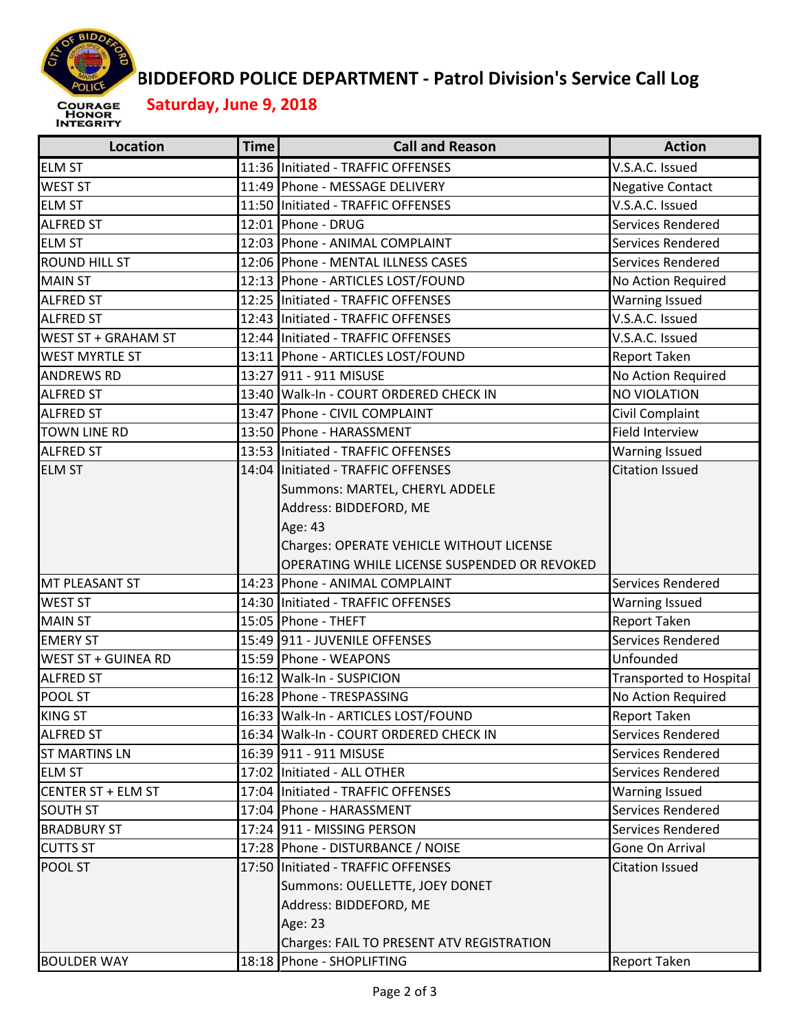

## **BIDDEFORD POLICE DEPARTMENT ‐ Patrol Division's Service Call Log**

 **Saturday, June 9, 2018**

| Location                   | <b>Time</b> | <b>Call and Reason</b>                       | <b>Action</b>                  |
|----------------------------|-------------|----------------------------------------------|--------------------------------|
| <b>ELM ST</b>              |             | 11:36 Initiated - TRAFFIC OFFENSES           | V.S.A.C. Issued                |
| <b>WEST ST</b>             |             | 11:49 Phone - MESSAGE DELIVERY               | <b>Negative Contact</b>        |
| <b>ELM ST</b>              |             | 11:50 Initiated - TRAFFIC OFFENSES           | V.S.A.C. Issued                |
| <b>ALFRED ST</b>           |             | 12:01 Phone - DRUG                           | Services Rendered              |
| <b>ELM ST</b>              |             | 12:03 Phone - ANIMAL COMPLAINT               | Services Rendered              |
| <b>ROUND HILL ST</b>       |             | 12:06 Phone - MENTAL ILLNESS CASES           | Services Rendered              |
| <b>MAIN ST</b>             |             | 12:13 Phone - ARTICLES LOST/FOUND            | No Action Required             |
| <b>ALFRED ST</b>           |             | 12:25 Initiated - TRAFFIC OFFENSES           | <b>Warning Issued</b>          |
| <b>ALFRED ST</b>           |             | 12:43 Initiated - TRAFFIC OFFENSES           | V.S.A.C. Issued                |
| WEST ST + GRAHAM ST        |             | 12:44 Initiated - TRAFFIC OFFENSES           | V.S.A.C. Issued                |
| <b>WEST MYRTLE ST</b>      |             | 13:11 Phone - ARTICLES LOST/FOUND            | Report Taken                   |
| <b>ANDREWS RD</b>          |             | 13:27 911 - 911 MISUSE                       | No Action Required             |
| <b>ALFRED ST</b>           |             | 13:40 Walk-In - COURT ORDERED CHECK IN       | NO VIOLATION                   |
| <b>ALFRED ST</b>           |             | 13:47 Phone - CIVIL COMPLAINT                | Civil Complaint                |
| <b>TOWN LINE RD</b>        |             | 13:50 Phone - HARASSMENT                     | <b>Field Interview</b>         |
| <b>ALFRED ST</b>           |             | 13:53 Initiated - TRAFFIC OFFENSES           | <b>Warning Issued</b>          |
| <b>ELM ST</b>              |             | 14:04 Initiated - TRAFFIC OFFENSES           | <b>Citation Issued</b>         |
|                            |             | Summons: MARTEL, CHERYL ADDELE               |                                |
|                            |             | Address: BIDDEFORD, ME                       |                                |
|                            |             | Age: 43                                      |                                |
|                            |             | Charges: OPERATE VEHICLE WITHOUT LICENSE     |                                |
|                            |             | OPERATING WHILE LICENSE SUSPENDED OR REVOKED |                                |
| MT PLEASANT ST             |             | 14:23 Phone - ANIMAL COMPLAINT               | Services Rendered              |
| <b>WEST ST</b>             |             | 14:30 Initiated - TRAFFIC OFFENSES           | <b>Warning Issued</b>          |
| <b>MAIN ST</b>             |             | 15:05 Phone - THEFT                          | Report Taken                   |
| <b>EMERY ST</b>            |             | 15:49 911 - JUVENILE OFFENSES                | Services Rendered              |
| <b>WEST ST + GUINEA RD</b> |             | 15:59 Phone - WEAPONS                        | Unfounded                      |
| <b>ALFRED ST</b>           |             | 16:12 Walk-In - SUSPICION                    | <b>Transported to Hospital</b> |
| POOL ST                    |             | 16:28 Phone - TRESPASSING                    | No Action Required             |
| <b>KING ST</b>             |             | 16:33 Walk-In - ARTICLES LOST/FOUND          | <b>Report Taken</b>            |
| <b>ALFRED ST</b>           |             | 16:34 Walk-In - COURT ORDERED CHECK IN       | Services Rendered              |
| <b>ST MARTINS LN</b>       |             | 16:39 911 - 911 MISUSE                       | Services Rendered              |
| <b>ELM ST</b>              |             | 17:02 Initiated - ALL OTHER                  | Services Rendered              |
| <b>CENTER ST + ELM ST</b>  |             | 17:04 Initiated - TRAFFIC OFFENSES           | <b>Warning Issued</b>          |
| <b>SOUTH ST</b>            |             | 17:04 Phone - HARASSMENT                     | Services Rendered              |
| <b>BRADBURY ST</b>         |             | 17:24 911 - MISSING PERSON                   | Services Rendered              |
| <b>CUTTS ST</b>            |             | 17:28 Phone - DISTURBANCE / NOISE            | Gone On Arrival                |
| POOL ST                    |             | 17:50 Initiated - TRAFFIC OFFENSES           | <b>Citation Issued</b>         |
|                            |             | Summons: OUELLETTE, JOEY DONET               |                                |
|                            |             | Address: BIDDEFORD, ME                       |                                |
|                            |             | Age: 23                                      |                                |
|                            |             | Charges: FAIL TO PRESENT ATV REGISTRATION    |                                |
| <b>BOULDER WAY</b>         |             | 18:18 Phone - SHOPLIFTING                    | <b>Report Taken</b>            |